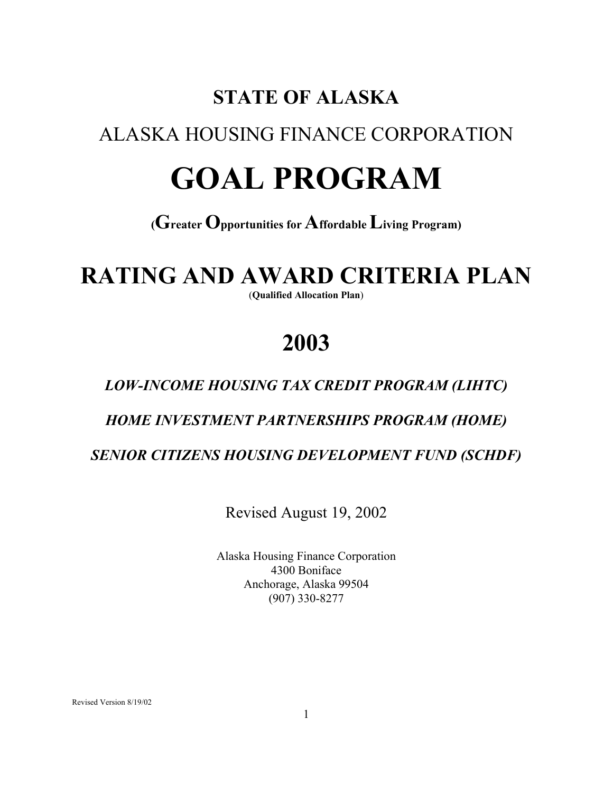# **STATE OF ALASKA**

## ALASKA HOUSING FINANCE CORPORATION

# **GOAL PROGRAM**

### **(Greater Opportunities for Affordable Living Program)**

# **RATING AND AWARD CRITERIA PLAN**

(**Qualified Allocation Plan**)

# **2003**

### *LOW-INCOME HOUSING TAX CREDIT PROGRAM (LIHTC)*

#### *HOME INVESTMENT PARTNERSHIPS PROGRAM (HOME)*

 *SENIOR CITIZENS HOUSING DEVELOPMENT FUND (SCHDF)*

Revised August 19, 2002

 Alaska Housing Finance Corporation 4300 Boniface Anchorage, Alaska 99504 (907) 330-8277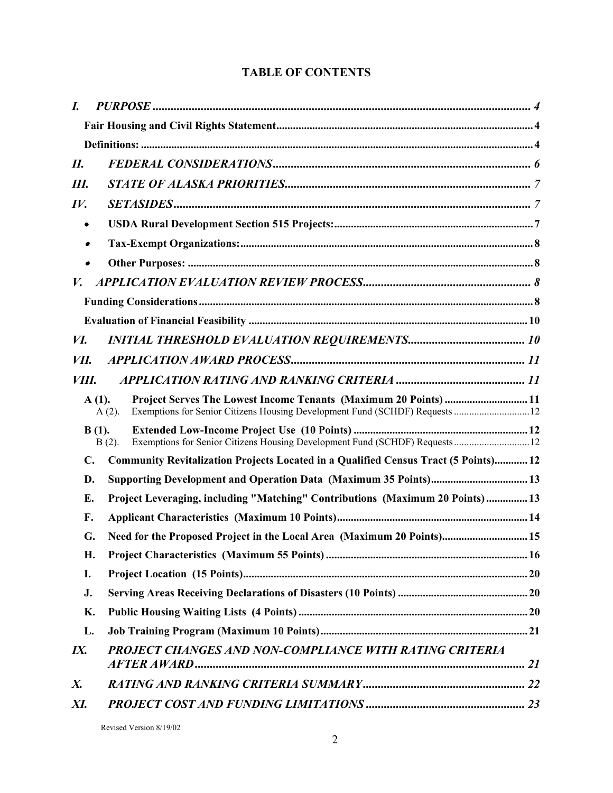#### **TABLE OF CONTENTS**

| I.                 |                                                                                          |  |
|--------------------|------------------------------------------------------------------------------------------|--|
|                    |                                                                                          |  |
|                    |                                                                                          |  |
| II.                |                                                                                          |  |
| Ш.                 |                                                                                          |  |
| IV.                |                                                                                          |  |
|                    |                                                                                          |  |
|                    |                                                                                          |  |
|                    |                                                                                          |  |
| V.                 |                                                                                          |  |
|                    |                                                                                          |  |
|                    |                                                                                          |  |
| И.                 |                                                                                          |  |
| VII.               |                                                                                          |  |
| VIII.              |                                                                                          |  |
|                    | Project Serves The Lowest Income Tenants (Maximum 20 Points)  11<br>$A(1)$ .<br>$A(2)$ . |  |
|                    | $B(1)$ .<br>$B(2)$ .                                                                     |  |
| $\mathbf{C}$ .     | Community Revitalization Projects Located in a Qualified Census Tract (5 Points) 12      |  |
| D.                 |                                                                                          |  |
| Е.                 | Project Leveraging, including "Matching" Contributions (Maximum 20 Points) 13            |  |
| F.                 |                                                                                          |  |
| G.                 | Need for the Proposed Project in the Local Area (Maximum 20 Points) 15                   |  |
| Η.                 |                                                                                          |  |
| I.                 |                                                                                          |  |
| J.                 |                                                                                          |  |
| K.                 |                                                                                          |  |
| L.                 |                                                                                          |  |
| IX.                | PROJECT CHANGES AND NON-COMPLIANCE WITH RATING CRITERIA                                  |  |
| $\boldsymbol{X}$ . |                                                                                          |  |
| XI.                |                                                                                          |  |
|                    |                                                                                          |  |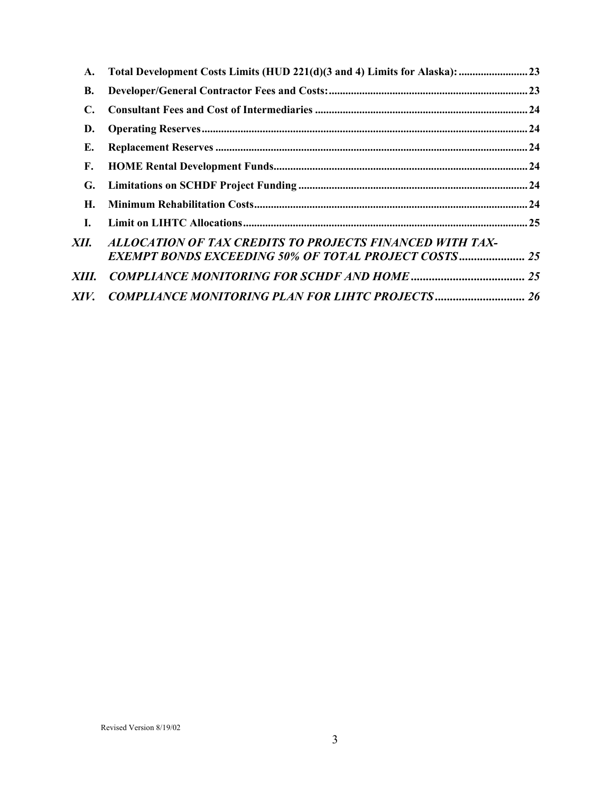| A.        | Total Development Costs Limits (HUD 221(d)(3 and 4) Limits for Alaska):  23                                             |  |
|-----------|-------------------------------------------------------------------------------------------------------------------------|--|
| <b>B.</b> |                                                                                                                         |  |
| C.        |                                                                                                                         |  |
| D.        |                                                                                                                         |  |
| Е.        |                                                                                                                         |  |
| F.        |                                                                                                                         |  |
| G.        |                                                                                                                         |  |
| Н.        |                                                                                                                         |  |
| I.        |                                                                                                                         |  |
| XII. -    | ALLOCATION OF TAX CREDITS TO PROJECTS FINANCED WITH TAX-<br><b>EXEMPT BONDS EXCEEDING 50% OF TOTAL PROJECT COSTS 25</b> |  |
| XIII.     |                                                                                                                         |  |
| XIV.      | <b>COMPLIANCE MONITORING PLAN FOR LIHTC PROJECTS 26</b>                                                                 |  |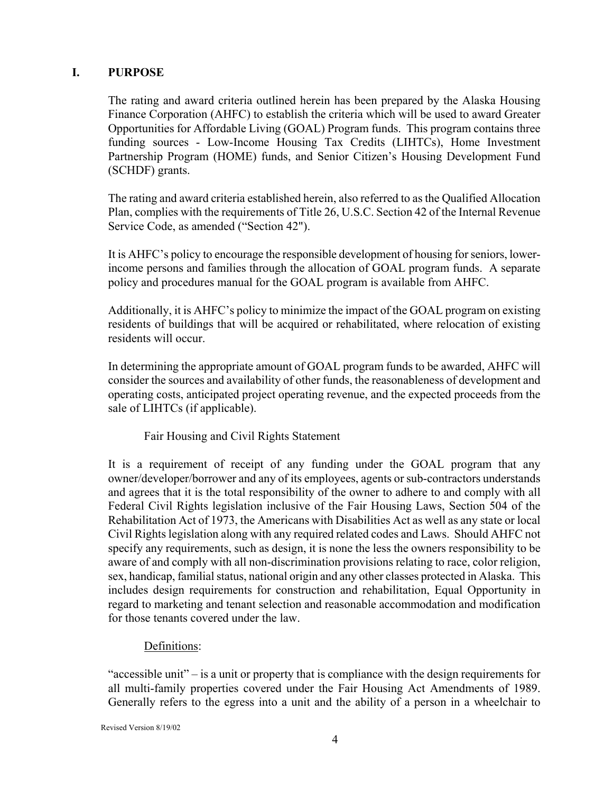#### **I. PURPOSE**

The rating and award criteria outlined herein has been prepared by the Alaska Housing Finance Corporation (AHFC) to establish the criteria which will be used to award Greater Opportunities for Affordable Living (GOAL) Program funds. This program contains three funding sources - Low-Income Housing Tax Credits (LIHTCs), Home Investment Partnership Program (HOME) funds, and Senior Citizen's Housing Development Fund (SCHDF) grants.

The rating and award criteria established herein, also referred to as the Qualified Allocation Plan, complies with the requirements of Title 26, U.S.C. Section 42 of the Internal Revenue Service Code, as amended ("Section 42").

It is AHFC's policy to encourage the responsible development of housing for seniors, lowerincome persons and families through the allocation of GOAL program funds. A separate policy and procedures manual for the GOAL program is available from AHFC.

Additionally, it is AHFC's policy to minimize the impact of the GOAL program on existing residents of buildings that will be acquired or rehabilitated, where relocation of existing residents will occur.

In determining the appropriate amount of GOAL program funds to be awarded, AHFC will consider the sources and availability of other funds, the reasonableness of development and operating costs, anticipated project operating revenue, and the expected proceeds from the sale of LIHTCs (if applicable).

#### Fair Housing and Civil Rights Statement

It is a requirement of receipt of any funding under the GOAL program that any owner/developer/borrower and any of its employees, agents or sub-contractors understands and agrees that it is the total responsibility of the owner to adhere to and comply with all Federal Civil Rights legislation inclusive of the Fair Housing Laws, Section 504 of the Rehabilitation Act of 1973, the Americans with Disabilities Act as well as any state or local Civil Rights legislation along with any required related codes and Laws. Should AHFC not specify any requirements, such as design, it is none the less the owners responsibility to be aware of and comply with all non-discrimination provisions relating to race, color religion, sex, handicap, familial status, national origin and any other classes protected in Alaska. This includes design requirements for construction and rehabilitation, Equal Opportunity in regard to marketing and tenant selection and reasonable accommodation and modification for those tenants covered under the law.

#### Definitions:

"accessible unit" – is a unit or property that is compliance with the design requirements for all multi-family properties covered under the Fair Housing Act Amendments of 1989. Generally refers to the egress into a unit and the ability of a person in a wheelchair to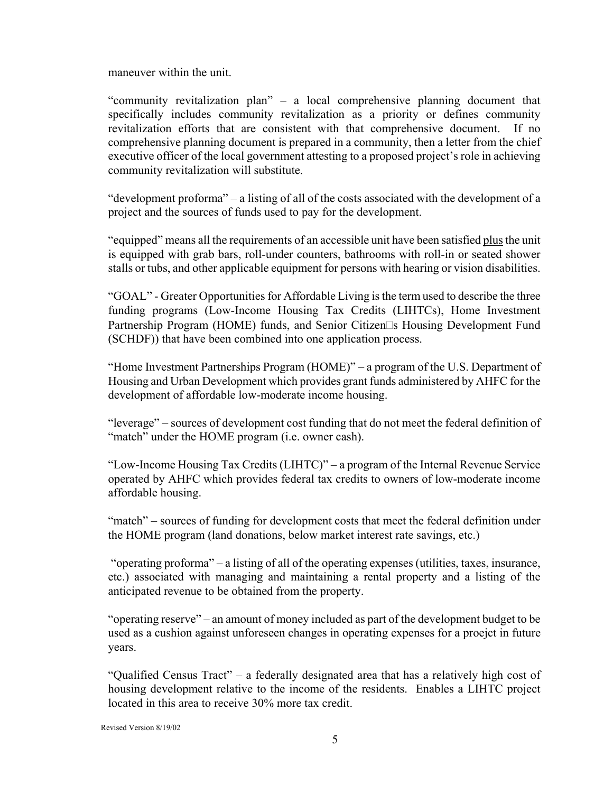maneuver within the unit.

"community revitalization plan" – a local comprehensive planning document that specifically includes community revitalization as a priority or defines community revitalization efforts that are consistent with that comprehensive document. If no comprehensive planning document is prepared in a community, then a letter from the chief executive officer of the local government attesting to a proposed project's role in achieving community revitalization will substitute.

"development proforma" – a listing of all of the costs associated with the development of a project and the sources of funds used to pay for the development.

"equipped" means all the requirements of an accessible unit have been satisfied plus the unit is equipped with grab bars, roll-under counters, bathrooms with roll-in or seated shower stalls or tubs, and other applicable equipment for persons with hearing or vision disabilities.

"GOAL" - Greater Opportunities for Affordable Living is the term used to describe the three funding programs (Low-Income Housing Tax Credits (LIHTCs), Home Investment Partnership Program (HOME) funds, and Senior Citizen<sup>th</sup>s Housing Development Fund (SCHDF)) that have been combined into one application process.

"Home Investment Partnerships Program (HOME)" – a program of the U.S. Department of Housing and Urban Development which provides grant funds administered by AHFC for the development of affordable low-moderate income housing.

"leverage" – sources of development cost funding that do not meet the federal definition of "match" under the HOME program (*i.e.* owner cash).

"Low-Income Housing Tax Credits (LIHTC)" – a program of the Internal Revenue Service operated by AHFC which provides federal tax credits to owners of low-moderate income affordable housing.

"match" – sources of funding for development costs that meet the federal definition under the HOME program (land donations, below market interest rate savings, etc.)

 "operating proforma" – a listing of all of the operating expenses (utilities, taxes, insurance, etc.) associated with managing and maintaining a rental property and a listing of the anticipated revenue to be obtained from the property.

"operating reserve" – an amount of money included as part of the development budget to be used as a cushion against unforeseen changes in operating expenses for a proejct in future years.

"Qualified Census Tract" – a federally designated area that has a relatively high cost of housing development relative to the income of the residents. Enables a LIHTC project located in this area to receive 30% more tax credit.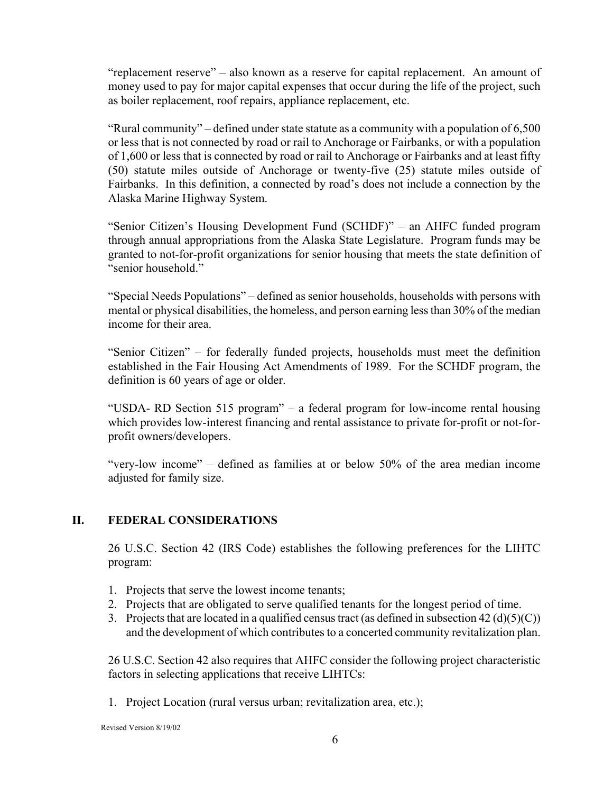"replacement reserve" – also known as a reserve for capital replacement. An amount of money used to pay for major capital expenses that occur during the life of the project, such as boiler replacement, roof repairs, appliance replacement, etc.

"Rural community" – defined under state statute as a community with a population of 6,500 or less that is not connected by road or rail to Anchorage or Fairbanks, or with a population of 1,600 or less that is connected by road or rail to Anchorage or Fairbanks and at least fifty (50) statute miles outside of Anchorage or twenty-five (25) statute miles outside of Fairbanks. In this definition, a connected by road's does not include a connection by the Alaska Marine Highway System.

"Senior Citizen's Housing Development Fund (SCHDF)" – an AHFC funded program through annual appropriations from the Alaska State Legislature. Program funds may be granted to not-for-profit organizations for senior housing that meets the state definition of "senior household."

"Special Needs Populations" – defined as senior households, households with persons with mental or physical disabilities, the homeless, and person earning less than 30% of the median income for their area.

"Senior Citizen" – for federally funded projects, households must meet the definition established in the Fair Housing Act Amendments of 1989. For the SCHDF program, the definition is 60 years of age or older.

"USDA- RD Section 515 program" – a federal program for low-income rental housing which provides low-interest financing and rental assistance to private for-profit or not-forprofit owners/developers.

"very-low income" – defined as families at or below 50% of the area median income adjusted for family size.

#### **II. FEDERAL CONSIDERATIONS**

26 U.S.C. Section 42 (IRS Code) establishes the following preferences for the LIHTC program:

- 1. Projects that serve the lowest income tenants;
- 2. Projects that are obligated to serve qualified tenants for the longest period of time.
- 3. Projects that are located in a qualified census tract (as defined in subsection  $42 \text{ (d)(5)(C)}$ ) and the development of which contributes to a concerted community revitalization plan.

26 U.S.C. Section 42 also requires that AHFC consider the following project characteristic factors in selecting applications that receive LIHTCs:

1. Project Location (rural versus urban; revitalization area, etc.);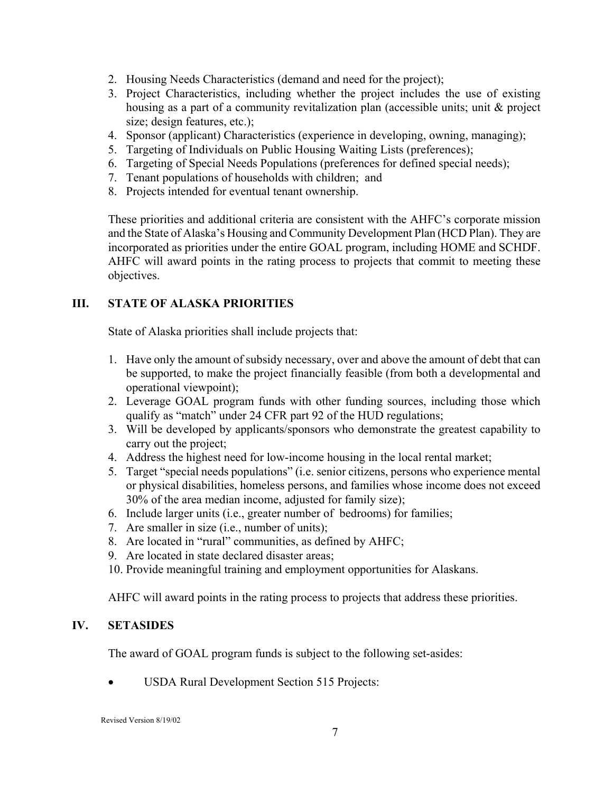- 2. Housing Needs Characteristics (demand and need for the project);
- 3. Project Characteristics, including whether the project includes the use of existing housing as a part of a community revitalization plan (accessible units; unit & project size; design features, etc.);
- 4. Sponsor (applicant) Characteristics (experience in developing, owning, managing);
- 5. Targeting of Individuals on Public Housing Waiting Lists (preferences);
- 6. Targeting of Special Needs Populations (preferences for defined special needs);
- 7. Tenant populations of households with children; and
- 8. Projects intended for eventual tenant ownership.

These priorities and additional criteria are consistent with the AHFC's corporate mission and the State of Alaska's Housing and Community Development Plan (HCD Plan). They are incorporated as priorities under the entire GOAL program, including HOME and SCHDF. AHFC will award points in the rating process to projects that commit to meeting these objectives.

#### **III. STATE OF ALASKA PRIORITIES**

State of Alaska priorities shall include projects that:

- 1. Have only the amount of subsidy necessary, over and above the amount of debt that can be supported, to make the project financially feasible (from both a developmental and operational viewpoint);
- 2. Leverage GOAL program funds with other funding sources, including those which qualify as "match" under 24 CFR part 92 of the HUD regulations;
- 3. Will be developed by applicants/sponsors who demonstrate the greatest capability to carry out the project;
- 4. Address the highest need for low-income housing in the local rental market;
- 5. Target "special needs populations" (i.e. senior citizens, persons who experience mental or physical disabilities, homeless persons, and families whose income does not exceed 30% of the area median income, adjusted for family size);
- 6. Include larger units (i.e., greater number of bedrooms) for families;
- 7. Are smaller in size (i.e., number of units);
- 8. Are located in "rural" communities, as defined by AHFC;
- 9. Are located in state declared disaster areas;
- 10. Provide meaningful training and employment opportunities for Alaskans.

AHFC will award points in the rating process to projects that address these priorities.

#### **IV. SETASIDES**

The award of GOAL program funds is subject to the following set-asides:

• USDA Rural Development Section 515 Projects: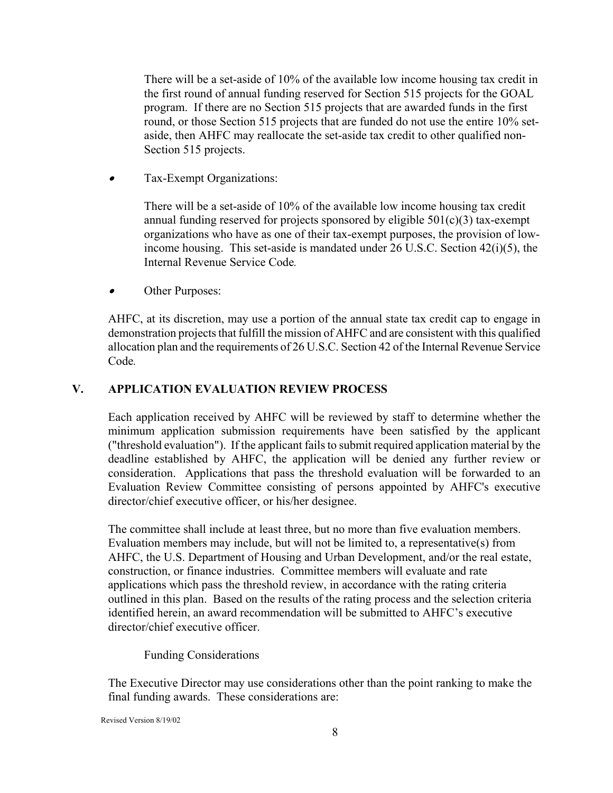There will be a set-aside of 10% of the available low income housing tax credit in the first round of annual funding reserved for Section 515 projects for the GOAL program. If there are no Section 515 projects that are awarded funds in the first round, or those Section 515 projects that are funded do not use the entire 10% setaside, then AHFC may reallocate the set-aside tax credit to other qualified non-Section 515 projects.

•Tax-Exempt Organizations:

> There will be a set-aside of 10% of the available low income housing tax credit annual funding reserved for projects sponsored by eligible  $501(c)(3)$  tax-exempt organizations who have as one of their tax-exempt purposes, the provision of lowincome housing. This set-aside is mandated under 26 U.S.C. Section 42(i)(5), the Internal Revenue Service Code*.*

•Other Purposes:

AHFC, at its discretion, may use a portion of the annual state tax credit cap to engage in demonstration projects that fulfill the mission of AHFC and are consistent with this qualified allocation plan and the requirements of 26 U.S.C. Section 42 of the Internal Revenue Service Code*.* 

#### **V. APPLICATION EVALUATION REVIEW PROCESS**

Each application received by AHFC will be reviewed by staff to determine whether the minimum application submission requirements have been satisfied by the applicant ("threshold evaluation"). If the applicant fails to submit required application material by the deadline established by AHFC, the application will be denied any further review or consideration. Applications that pass the threshold evaluation will be forwarded to an Evaluation Review Committee consisting of persons appointed by AHFC's executive director/chief executive officer, or his/her designee.

The committee shall include at least three, but no more than five evaluation members. Evaluation members may include, but will not be limited to, a representative(s) from AHFC, the U.S. Department of Housing and Urban Development, and/or the real estate, construction, or finance industries. Committee members will evaluate and rate applications which pass the threshold review, in accordance with the rating criteria outlined in this plan. Based on the results of the rating process and the selection criteria identified herein, an award recommendation will be submitted to AHFC's executive director/chief executive officer.

Funding Considerations

The Executive Director may use considerations other than the point ranking to make the final funding awards. These considerations are: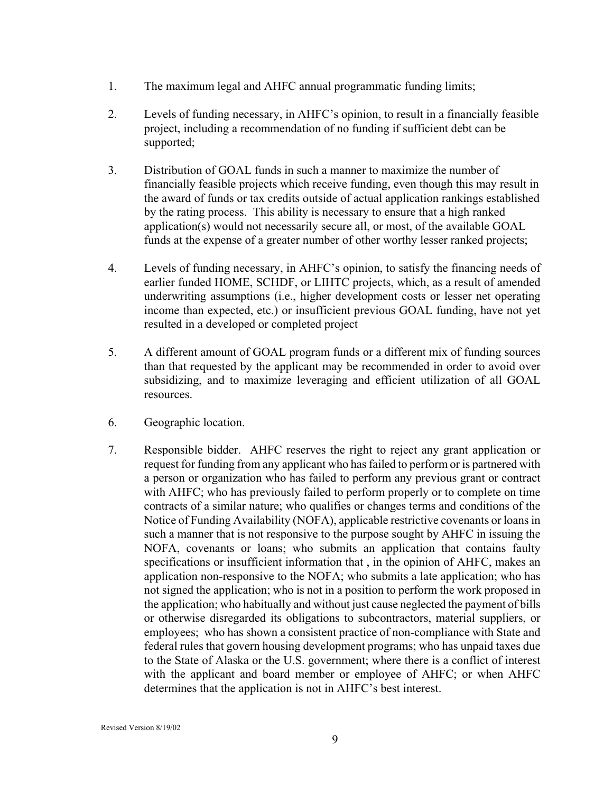- 1. The maximum legal and AHFC annual programmatic funding limits;
- 2. Levels of funding necessary, in AHFC's opinion, to result in a financially feasible project, including a recommendation of no funding if sufficient debt can be supported;
- 3. Distribution of GOAL funds in such a manner to maximize the number of financially feasible projects which receive funding, even though this may result in the award of funds or tax credits outside of actual application rankings established by the rating process. This ability is necessary to ensure that a high ranked application(s) would not necessarily secure all, or most, of the available GOAL funds at the expense of a greater number of other worthy lesser ranked projects;
- 4. Levels of funding necessary, in AHFC's opinion, to satisfy the financing needs of earlier funded HOME, SCHDF, or LIHTC projects, which, as a result of amended underwriting assumptions (i.e., higher development costs or lesser net operating income than expected, etc.) or insufficient previous GOAL funding, have not yet resulted in a developed or completed project
- 5. A different amount of GOAL program funds or a different mix of funding sources than that requested by the applicant may be recommended in order to avoid over subsidizing, and to maximize leveraging and efficient utilization of all GOAL resources.
- 6. Geographic location.
- 7. Responsible bidder. AHFC reserves the right to reject any grant application or request for funding from any applicant who has failed to perform or is partnered with a person or organization who has failed to perform any previous grant or contract with AHFC; who has previously failed to perform properly or to complete on time contracts of a similar nature; who qualifies or changes terms and conditions of the Notice of Funding Availability (NOFA), applicable restrictive covenants or loans in such a manner that is not responsive to the purpose sought by AHFC in issuing the NOFA, covenants or loans; who submits an application that contains faulty specifications or insufficient information that , in the opinion of AHFC, makes an application non-responsive to the NOFA; who submits a late application; who has not signed the application; who is not in a position to perform the work proposed in the application; who habitually and without just cause neglected the payment of bills or otherwise disregarded its obligations to subcontractors, material suppliers, or employees; who has shown a consistent practice of non-compliance with State and federal rules that govern housing development programs; who has unpaid taxes due to the State of Alaska or the U.S. government; where there is a conflict of interest with the applicant and board member or employee of AHFC; or when AHFC determines that the application is not in AHFC's best interest.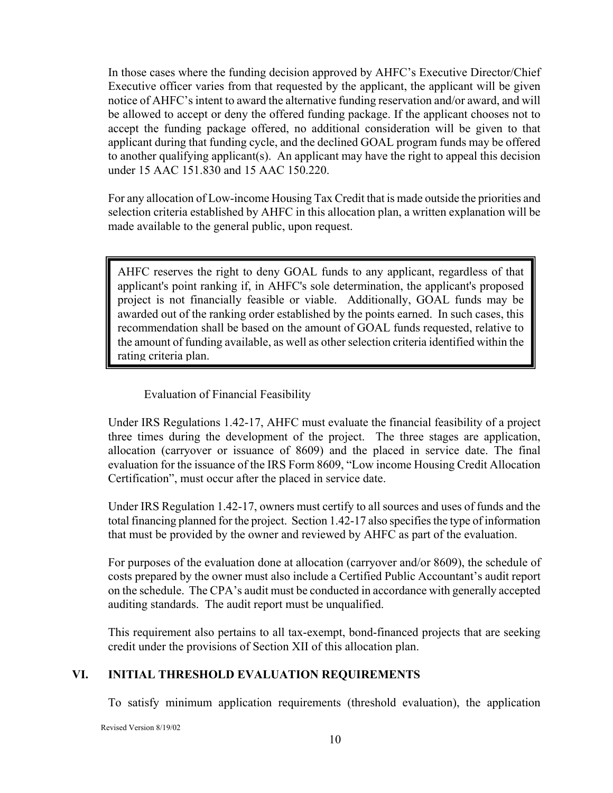In those cases where the funding decision approved by AHFC's Executive Director/Chief Executive officer varies from that requested by the applicant, the applicant will be given notice of AHFC's intent to award the alternative funding reservation and/or award, and will be allowed to accept or deny the offered funding package. If the applicant chooses not to accept the funding package offered, no additional consideration will be given to that applicant during that funding cycle, and the declined GOAL program funds may be offered to another qualifying applicant(s). An applicant may have the right to appeal this decision under 15 AAC 151.830 and 15 AAC 150.220.

For any allocation of Low-income Housing Tax Credit that is made outside the priorities and selection criteria established by AHFC in this allocation plan, a written explanation will be made available to the general public, upon request.

AHFC reserves the right to deny GOAL funds to any applicant, regardless of that applicant's point ranking if, in AHFC's sole determination, the applicant's proposed project is not financially feasible or viable. Additionally, GOAL funds may be awarded out of the ranking order established by the points earned. In such cases, this recommendation shall be based on the amount of GOAL funds requested, relative to the amount of funding available, as well as other selection criteria identified within the rating criteria plan.

#### Evaluation of Financial Feasibility

Under IRS Regulations 1.42-17, AHFC must evaluate the financial feasibility of a project three times during the development of the project. The three stages are application, allocation (carryover or issuance of 8609) and the placed in service date. The final evaluation for the issuance of the IRS Form 8609, "Low income Housing Credit Allocation Certification", must occur after the placed in service date.

Under IRS Regulation 1.42-17, owners must certify to all sources and uses of funds and the total financing planned for the project. Section 1.42-17 also specifies the type of information that must be provided by the owner and reviewed by AHFC as part of the evaluation.

For purposes of the evaluation done at allocation (carryover and/or 8609), the schedule of costs prepared by the owner must also include a Certified Public Accountant's audit report on the schedule. The CPA's audit must be conducted in accordance with generally accepted auditing standards. The audit report must be unqualified.

This requirement also pertains to all tax-exempt, bond-financed projects that are seeking credit under the provisions of Section XII of this allocation plan.

#### **VI. INITIAL THRESHOLD EVALUATION REQUIREMENTS**

To satisfy minimum application requirements (threshold evaluation), the application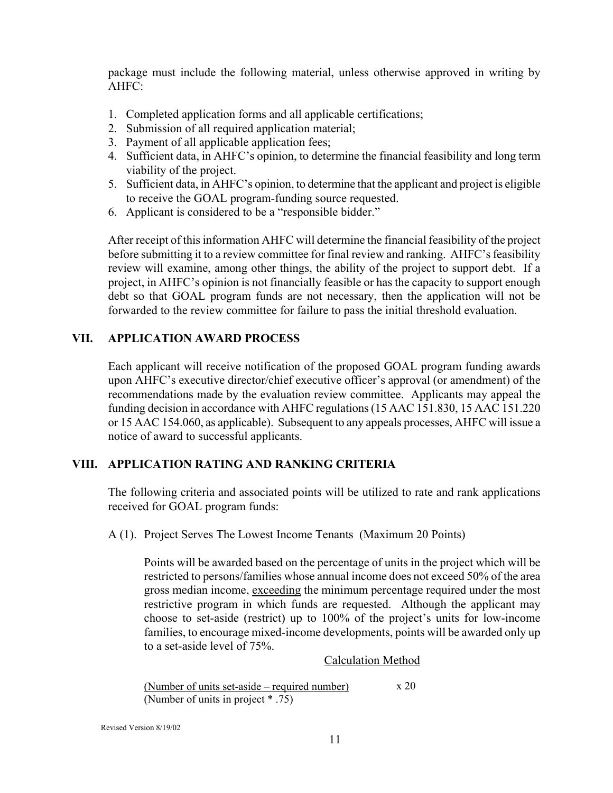package must include the following material, unless otherwise approved in writing by AHFC:

- 1. Completed application forms and all applicable certifications;
- 2. Submission of all required application material;
- 3. Payment of all applicable application fees;
- 4. Sufficient data, in AHFC's opinion, to determine the financial feasibility and long term viability of the project.
- 5. Sufficient data, in AHFC's opinion, to determine that the applicant and project is eligible to receive the GOAL program-funding source requested.
- 6. Applicant is considered to be a "responsible bidder."

After receipt of this information AHFC will determine the financial feasibility of the project before submitting it to a review committee for final review and ranking. AHFC's feasibility review will examine, among other things, the ability of the project to support debt. If a project, in AHFC's opinion is not financially feasible or has the capacity to support enough debt so that GOAL program funds are not necessary, then the application will not be forwarded to the review committee for failure to pass the initial threshold evaluation.

#### **VII. APPLICATION AWARD PROCESS**

Each applicant will receive notification of the proposed GOAL program funding awards upon AHFC's executive director/chief executive officer's approval (or amendment) of the recommendations made by the evaluation review committee. Applicants may appeal the funding decision in accordance with AHFC regulations (15 AAC 151.830, 15 AAC 151.220 or 15 AAC 154.060, as applicable). Subsequent to any appeals processes, AHFC will issue a notice of award to successful applicants.

#### **VIII. APPLICATION RATING AND RANKING CRITERIA**

The following criteria and associated points will be utilized to rate and rank applications received for GOAL program funds:

A (1). Project Serves The Lowest Income Tenants (Maximum 20 Points)

Points will be awarded based on the percentage of units in the project which will be restricted to persons/families whose annual income does not exceed 50% of the area gross median income, exceeding the minimum percentage required under the most restrictive program in which funds are requested. Although the applicant may choose to set-aside (restrict) up to 100% of the project's units for low-income families, to encourage mixed-income developments, points will be awarded only up to a set-aside level of 75%.

#### Calculation Method

(Number of units set-aside – required number)  $x 20$ (Number of units in project \* .75)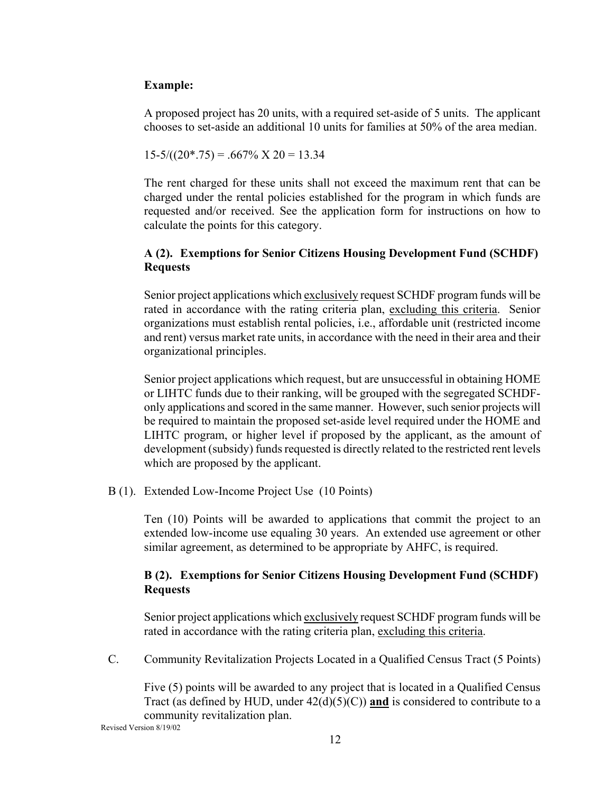#### **Example:**

A proposed project has 20 units, with a required set-aside of 5 units. The applicant chooses to set-aside an additional 10 units for families at 50% of the area median.

 $15-5/((20*.75) = .667\% \times 20 = 13.34$ 

The rent charged for these units shall not exceed the maximum rent that can be charged under the rental policies established for the program in which funds are requested and/or received. See the application form for instructions on how to calculate the points for this category.

#### **A (2). Exemptions for Senior Citizens Housing Development Fund (SCHDF) Requests**

 Senior project applications which exclusively request SCHDF program funds will be rated in accordance with the rating criteria plan, excluding this criteria. Senior organizations must establish rental policies, i.e., affordable unit (restricted income and rent) versus market rate units, in accordance with the need in their area and their organizational principles.

Senior project applications which request, but are unsuccessful in obtaining HOME or LIHTC funds due to their ranking, will be grouped with the segregated SCHDFonly applications and scored in the same manner. However, such senior projects will be required to maintain the proposed set-aside level required under the HOME and LIHTC program, or higher level if proposed by the applicant, as the amount of development (subsidy) funds requested is directly related to the restricted rent levels which are proposed by the applicant.

B (1). Extended Low-Income Project Use (10 Points)

Ten (10) Points will be awarded to applications that commit the project to an extended low-income use equaling 30 years. An extended use agreement or other similar agreement, as determined to be appropriate by AHFC, is required.

#### **B (2). Exemptions for Senior Citizens Housing Development Fund (SCHDF) Requests**

Senior project applications which exclusively request SCHDF program funds will be rated in accordance with the rating criteria plan, excluding this criteria.

C. Community Revitalization Projects Located in a Qualified Census Tract (5 Points)

Five (5) points will be awarded to any project that is located in a Qualified Census Tract (as defined by HUD, under  $42(d)(5)(C)$ ) and is considered to contribute to a community revitalization plan.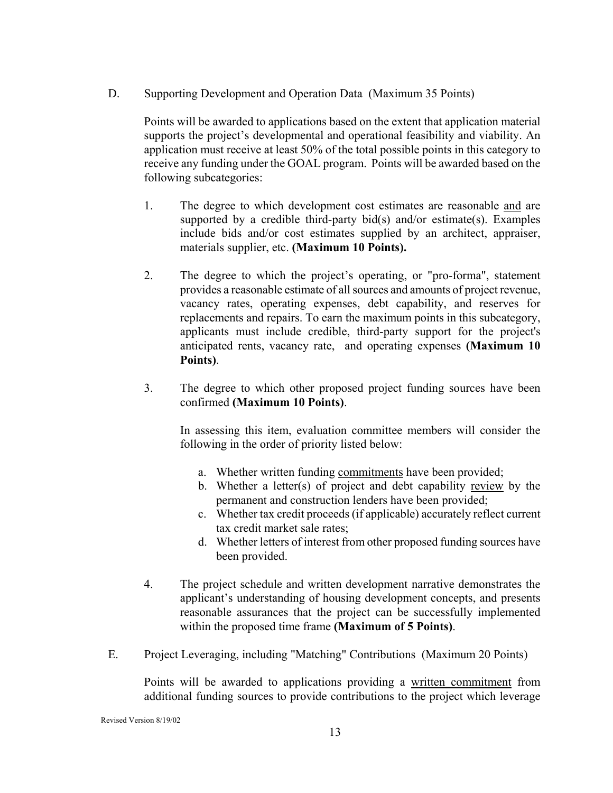D. Supporting Development and Operation Data (Maximum 35 Points)

Points will be awarded to applications based on the extent that application material supports the project's developmental and operational feasibility and viability. An application must receive at least 50% of the total possible points in this category to receive any funding under the GOAL program. Points will be awarded based on the following subcategories:

- 1. The degree to which development cost estimates are reasonable and are supported by a credible third-party bid(s) and/or estimate(s). Examples include bids and/or cost estimates supplied by an architect, appraiser, materials supplier, etc. **(Maximum 10 Points).**
- 2. The degree to which the project's operating, or "pro-forma", statement provides a reasonable estimate of all sources and amounts of project revenue, vacancy rates, operating expenses, debt capability, and reserves for replacements and repairs. To earn the maximum points in this subcategory, applicants must include credible, third-party support for the project's anticipated rents, vacancy rate, and operating expenses **(Maximum 10 Points)**.
- 3. The degree to which other proposed project funding sources have been confirmed **(Maximum 10 Points)**.

In assessing this item, evaluation committee members will consider the following in the order of priority listed below:

- a. Whether written funding commitments have been provided;
- b. Whether a letter(s) of project and debt capability review by the permanent and construction lenders have been provided;
- c. Whether tax credit proceeds (if applicable) accurately reflect current tax credit market sale rates;
- d. Whether letters of interest from other proposed funding sources have been provided.
- 4. The project schedule and written development narrative demonstrates the applicant's understanding of housing development concepts, and presents reasonable assurances that the project can be successfully implemented within the proposed time frame **(Maximum of 5 Points)**.
- E. Project Leveraging, including "Matching" Contributions (Maximum 20 Points)

Points will be awarded to applications providing a written commitment from additional funding sources to provide contributions to the project which leverage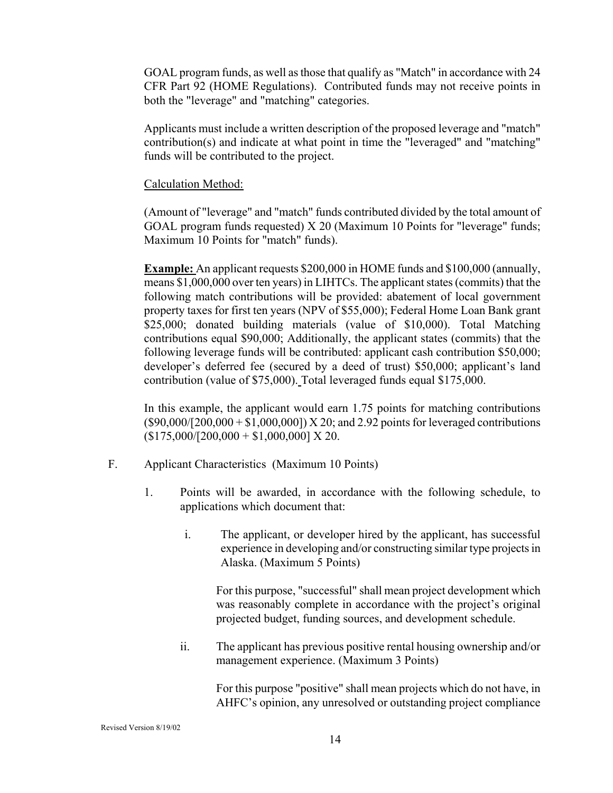GOAL program funds, as well as those that qualify as "Match" in accordance with 24 CFR Part 92 (HOME Regulations). Contributed funds may not receive points in both the "leverage" and "matching" categories.

Applicants must include a written description of the proposed leverage and "match" contribution(s) and indicate at what point in time the "leveraged" and "matching" funds will be contributed to the project.

#### Calculation Method:

(Amount of "leverage" and "match" funds contributed divided by the total amount of GOAL program funds requested) X 20 (Maximum 10 Points for "leverage" funds; Maximum 10 Points for "match" funds).

**Example:** An applicant requests \$200,000 in HOME funds and \$100,000 (annually, means \$1,000,000 over ten years) in LIHTCs. The applicant states (commits) that the following match contributions will be provided: abatement of local government property taxes for first ten years (NPV of \$55,000); Federal Home Loan Bank grant \$25,000; donated building materials (value of \$10,000). Total Matching contributions equal \$90,000; Additionally, the applicant states (commits) that the following leverage funds will be contributed: applicant cash contribution \$50,000; developer's deferred fee (secured by a deed of trust) \$50,000; applicant's land contribution (value of \$75,000). Total leveraged funds equal \$175,000.

In this example, the applicant would earn 1.75 points for matching contributions  $($90,000/[200,000 + $1,000,000])$  X 20; and 2.92 points for leveraged contributions  $(S175,000/[200,000 + $1,000,000]$  X 20.

- F. Applicant Characteristics (Maximum 10 Points)
	- 1. Points will be awarded, in accordance with the following schedule, to applications which document that:
		- i. The applicant, or developer hired by the applicant, has successful experience in developing and/or constructing similar type projects in Alaska. (Maximum 5 Points)

For this purpose, "successful" shall mean project development which was reasonably complete in accordance with the project's original projected budget, funding sources, and development schedule.

ii. The applicant has previous positive rental housing ownership and/or management experience. (Maximum 3 Points)

For this purpose "positive" shall mean projects which do not have, in AHFC's opinion, any unresolved or outstanding project compliance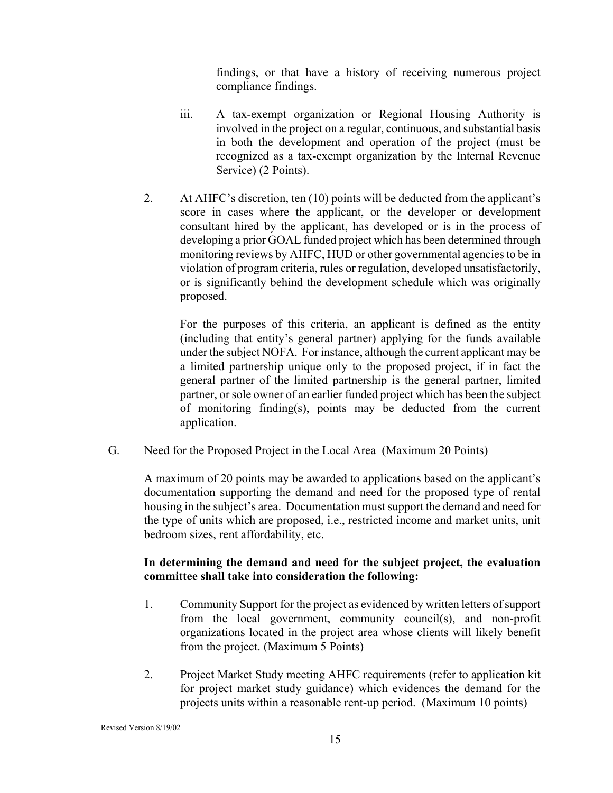findings, or that have a history of receiving numerous project compliance findings.

- iii. A tax-exempt organization or Regional Housing Authority is involved in the project on a regular, continuous, and substantial basis in both the development and operation of the project (must be recognized as a tax-exempt organization by the Internal Revenue Service) (2 Points).
- 2. At AHFC's discretion, ten (10) points will be deducted from the applicant's score in cases where the applicant, or the developer or development consultant hired by the applicant, has developed or is in the process of developing a prior GOAL funded project which has been determined through monitoring reviews by AHFC, HUD or other governmental agencies to be in violation of program criteria, rules or regulation, developed unsatisfactorily, or is significantly behind the development schedule which was originally proposed.

 For the purposes of this criteria, an applicant is defined as the entity (including that entity's general partner) applying for the funds available under the subject NOFA. For instance, although the current applicant may be a limited partnership unique only to the proposed project, if in fact the general partner of the limited partnership is the general partner, limited partner, or sole owner of an earlier funded project which has been the subject of monitoring finding(s), points may be deducted from the current application.

G. Need for the Proposed Project in the Local Area (Maximum 20 Points)

A maximum of 20 points may be awarded to applications based on the applicant's documentation supporting the demand and need for the proposed type of rental housing in the subject's area. Documentation must support the demand and need for the type of units which are proposed, i.e., restricted income and market units, unit bedroom sizes, rent affordability, etc.

#### **In determining the demand and need for the subject project, the evaluation committee shall take into consideration the following:**

- 1. Community Support for the project as evidenced by written letters of support from the local government, community council(s), and non-profit organizations located in the project area whose clients will likely benefit from the project. (Maximum 5 Points)
- 2. Project Market Study meeting AHFC requirements (refer to application kit for project market study guidance) which evidences the demand for the projects units within a reasonable rent-up period. (Maximum 10 points)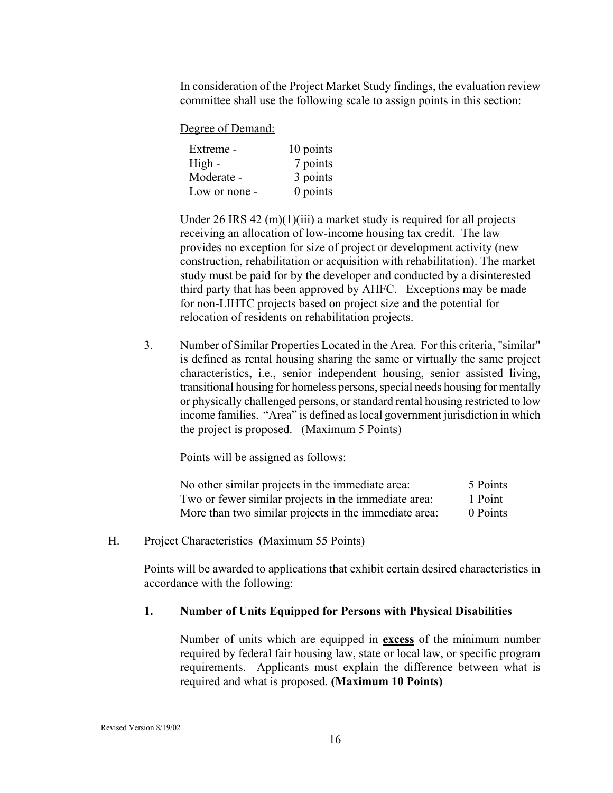In consideration of the Project Market Study findings, the evaluation review committee shall use the following scale to assign points in this section:

Degree of Demand:

| Extreme -     | 10 points  |
|---------------|------------|
| High -        | 7 points   |
| Moderate -    | 3 points   |
| Low or none - | $0$ points |

Under 26 IRS 42  $(m)(1)(iii)$  a market study is required for all projects receiving an allocation of low-income housing tax credit. The law provides no exception for size of project or development activity (new construction, rehabilitation or acquisition with rehabilitation). The market study must be paid for by the developer and conducted by a disinterested third party that has been approved by AHFC. Exceptions may be made for non-LIHTC projects based on project size and the potential for relocation of residents on rehabilitation projects.

3. Number of Similar Properties Located in the Area. For this criteria, "similar" is defined as rental housing sharing the same or virtually the same project characteristics, i.e., senior independent housing, senior assisted living, transitional housing for homeless persons, special needs housing for mentally or physically challenged persons, or standard rental housing restricted to low income families. "Area" is defined as local government jurisdiction in which the project is proposed. (Maximum 5 Points)

Points will be assigned as follows:

| No other similar projects in the immediate area:      | 5 Points |
|-------------------------------------------------------|----------|
| Two or fewer similar projects in the immediate area:  | 1 Point  |
| More than two similar projects in the immediate area: | 0 Points |

H. Project Characteristics (Maximum 55 Points)

Points will be awarded to applications that exhibit certain desired characteristics in accordance with the following:

#### **1. Number of Units Equipped for Persons with Physical Disabilities**

Number of units which are equipped in **excess** of the minimum number required by federal fair housing law, state or local law, or specific program requirements. Applicants must explain the difference between what is required and what is proposed. **(Maximum 10 Points)**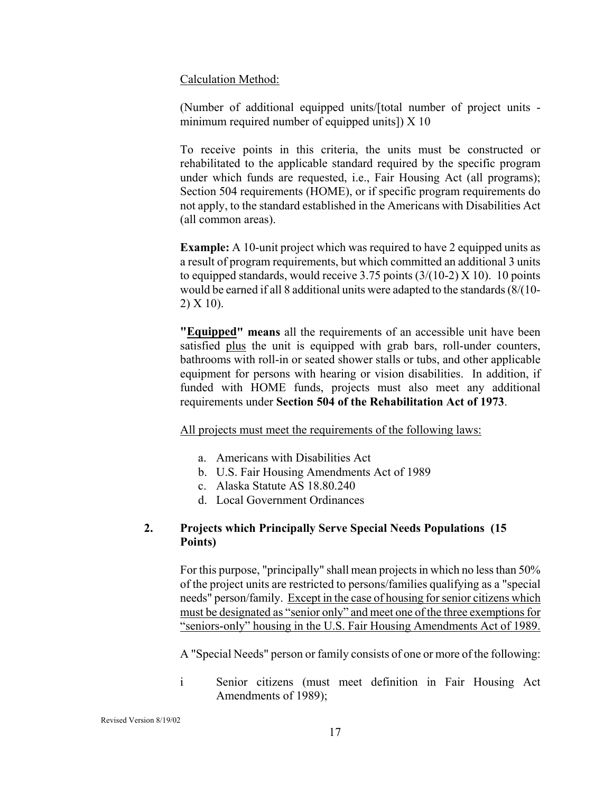Calculation Method:

(Number of additional equipped units/[total number of project units minimum required number of equipped units]) X 10

 To receive points in this criteria, the units must be constructed or rehabilitated to the applicable standard required by the specific program under which funds are requested, i.e., Fair Housing Act (all programs); Section 504 requirements (HOME), or if specific program requirements do not apply, to the standard established in the Americans with Disabilities Act (all common areas).

**Example:** A 10-unit project which was required to have 2 equipped units as a result of program requirements, but which committed an additional 3 units to equipped standards, would receive 3.75 points  $(3/(10-2) \times 10)$ . 10 points would be earned if all 8 additional units were adapted to the standards (8/(10- 2) X 10).

**"Equipped" means** all the requirements of an accessible unit have been satisfied plus the unit is equipped with grab bars, roll-under counters, bathrooms with roll-in or seated shower stalls or tubs, and other applicable equipment for persons with hearing or vision disabilities. In addition, if funded with HOME funds, projects must also meet any additional requirements under **Section 504 of the Rehabilitation Act of 1973**.

All projects must meet the requirements of the following laws:

- a. Americans with Disabilities Act
- b. U.S. Fair Housing Amendments Act of 1989
- c. Alaska Statute AS 18.80.240
- d. Local Government Ordinances

#### **2. Projects which Principally Serve Special Needs Populations (15 Points)**

For this purpose, "principally" shall mean projects in which no less than 50% of the project units are restricted to persons/families qualifying as a "special needs" person/family. Except in the case of housing for senior citizens which must be designated as "senior only" and meet one of the three exemptions for "seniors-only" housing in the U.S. Fair Housing Amendments Act of 1989.

A "Special Needs" person or family consists of one or more of the following:

i Senior citizens (must meet definition in Fair Housing Act Amendments of 1989);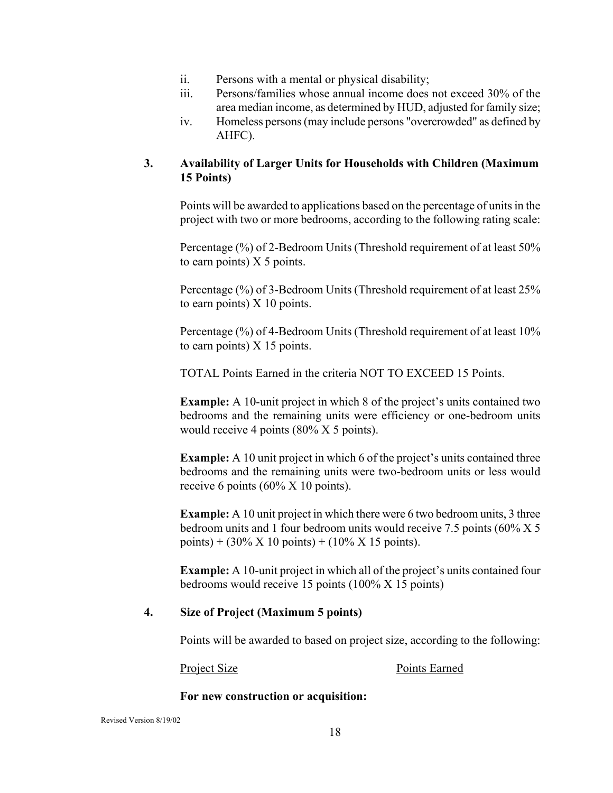- ii. Persons with a mental or physical disability;
- iii. Persons/families whose annual income does not exceed 30% of the area median income, as determined by HUD, adjusted for family size;
- iv. Homeless persons (may include persons "overcrowded" as defined by AHFC).

#### **3. Availability of Larger Units for Households with Children (Maximum 15 Points)**

Points will be awarded to applications based on the percentage of units in the project with two or more bedrooms, according to the following rating scale:

Percentage (%) of 2-Bedroom Units (Threshold requirement of at least 50% to earn points)  $X$  5 points.

Percentage (%) of 3-Bedroom Units (Threshold requirement of at least 25% to earn points) X 10 points.

Percentage (%) of 4-Bedroom Units (Threshold requirement of at least 10% to earn points) X 15 points.

TOTAL Points Earned in the criteria NOT TO EXCEED 15 Points.

**Example:** A 10-unit project in which 8 of the project's units contained two bedrooms and the remaining units were efficiency or one-bedroom units would receive 4 points (80% X 5 points).

**Example:** A 10 unit project in which 6 of the project's units contained three bedrooms and the remaining units were two-bedroom units or less would receive 6 points (60% X 10 points).

**Example:** A 10 unit project in which there were 6 two bedroom units, 3 three bedroom units and 1 four bedroom units would receive 7.5 points (60% X 5 points) +  $(30\% \text{ X } 10 \text{ points}) + (10\% \text{ X } 15 \text{ points}).$ 

**Example:** A 10-unit project in which all of the project's units contained four bedrooms would receive 15 points (100% X 15 points)

#### **4. Size of Project (Maximum 5 points)**

Points will be awarded to based on project size, according to the following:

Project Size Points Earned

#### **For new construction or acquisition:**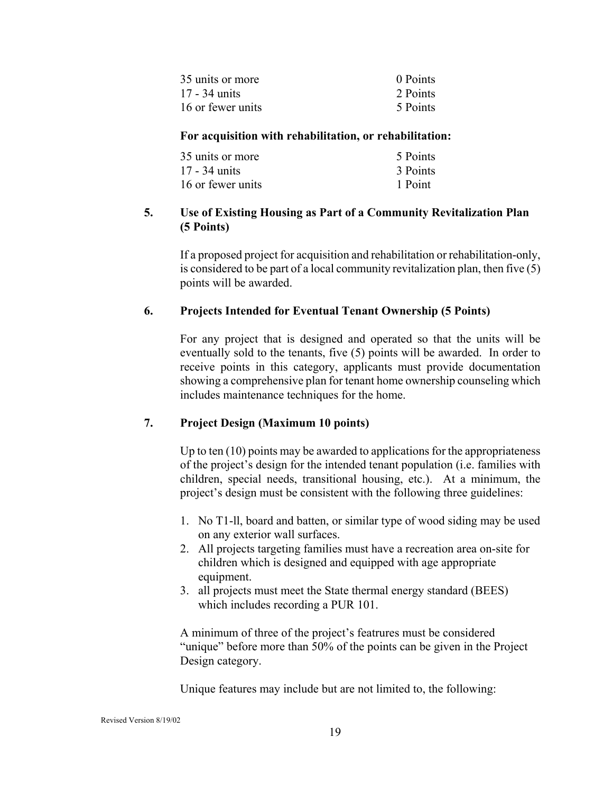| 35 units or more  | 0 Points |
|-------------------|----------|
| 17 - 34 units     | 2 Points |
| 16 or fewer units | 5 Points |

#### **For acquisition with rehabilitation, or rehabilitation:**

| 35 units or more  | 5 Points |
|-------------------|----------|
| 17 - 34 units     | 3 Points |
| 16 or fewer units | 1 Point  |

#### **5. Use of Existing Housing as Part of a Community Revitalization Plan (5 Points)**

If a proposed project for acquisition and rehabilitation or rehabilitation-only, is considered to be part of a local community revitalization plan, then five (5) points will be awarded.

#### **6. Projects Intended for Eventual Tenant Ownership (5 Points)**

For any project that is designed and operated so that the units will be eventually sold to the tenants, five (5) points will be awarded. In order to receive points in this category, applicants must provide documentation showing a comprehensive plan for tenant home ownership counseling which includes maintenance techniques for the home.

#### **7. Project Design (Maximum 10 points)**

Up to ten (10) points may be awarded to applications for the appropriateness of the project's design for the intended tenant population (i.e. families with children, special needs, transitional housing, etc.). At a minimum, the project's design must be consistent with the following three guidelines:

- 1. No T1-ll, board and batten, or similar type of wood siding may be used on any exterior wall surfaces.
- 2. All projects targeting families must have a recreation area on-site for children which is designed and equipped with age appropriate equipment.
- 3. all projects must meet the State thermal energy standard (BEES) which includes recording a PUR 101.

A minimum of three of the project's featrures must be considered "unique" before more than 50% of the points can be given in the Project Design category.

Unique features may include but are not limited to, the following: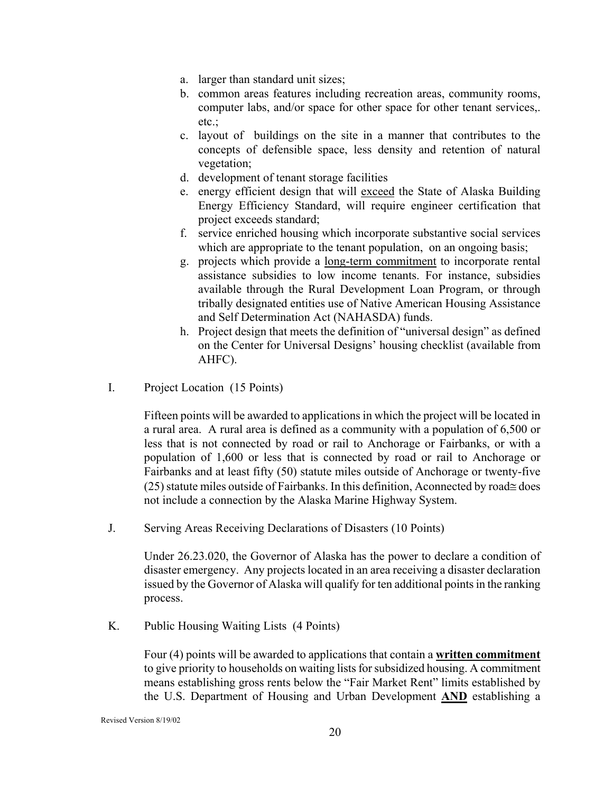- a. larger than standard unit sizes;
- b. common areas features including recreation areas, community rooms, computer labs, and/or space for other space for other tenant services,. etc.;
- c. layout of buildings on the site in a manner that contributes to the concepts of defensible space, less density and retention of natural vegetation;
- d. development of tenant storage facilities
- e. energy efficient design that will exceed the State of Alaska Building Energy Efficiency Standard, will require engineer certification that project exceeds standard;
- f. service enriched housing which incorporate substantive social services which are appropriate to the tenant population, on an ongoing basis;
- g. projects which provide a long-term commitment to incorporate rental assistance subsidies to low income tenants. For instance, subsidies available through the Rural Development Loan Program, or through tribally designated entities use of Native American Housing Assistance and Self Determination Act (NAHASDA) funds.
- h. Project design that meets the definition of "universal design" as defined on the Center for Universal Designs' housing checklist (available from AHFC).
- I. Project Location (15 Points)

Fifteen points will be awarded to applications in which the project will be located in a rural area. A rural area is defined as a community with a population of 6,500 or less that is not connected by road or rail to Anchorage or Fairbanks, or with a population of 1,600 or less that is connected by road or rail to Anchorage or Fairbanks and at least fifty (50) statute miles outside of Anchorage or twenty-five  $(25)$  statute miles outside of Fairbanks. In this definition, Aconnected by road $\equiv$  does not include a connection by the Alaska Marine Highway System.

J. Serving Areas Receiving Declarations of Disasters (10 Points)

Under 26.23.020, the Governor of Alaska has the power to declare a condition of disaster emergency. Any projects located in an area receiving a disaster declaration issued by the Governor of Alaska will qualify for ten additional points in the ranking process.

K. Public Housing Waiting Lists (4 Points)

Four (4) points will be awarded to applications that contain a **written commitment** to give priority to households on waiting lists for subsidized housing. A commitment means establishing gross rents below the "Fair Market Rent" limits established by the U.S. Department of Housing and Urban Development **AND** establishing a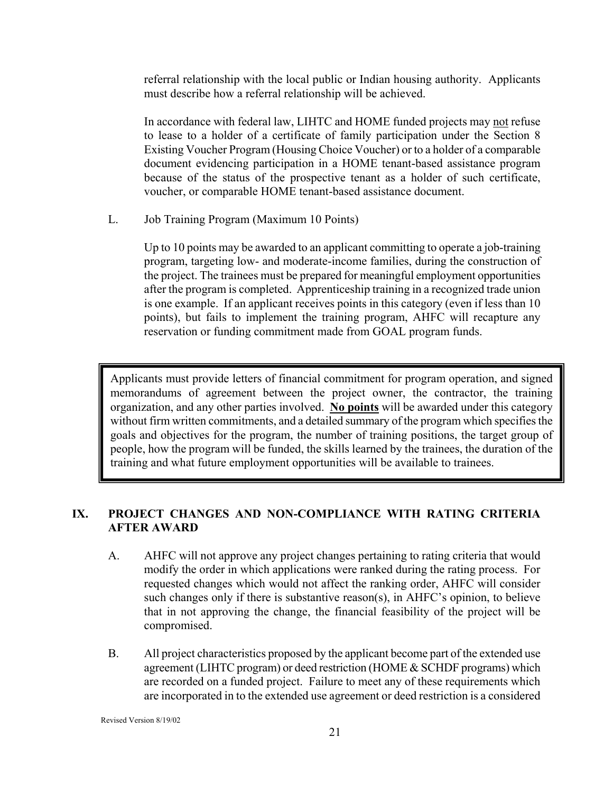referral relationship with the local public or Indian housing authority. Applicants must describe how a referral relationship will be achieved.

In accordance with federal law, LIHTC and HOME funded projects may not refuse to lease to a holder of a certificate of family participation under the Section 8 Existing Voucher Program (Housing Choice Voucher) or to a holder of a comparable document evidencing participation in a HOME tenant-based assistance program because of the status of the prospective tenant as a holder of such certificate, voucher, or comparable HOME tenant-based assistance document.

L. Job Training Program (Maximum 10 Points)

Up to 10 points may be awarded to an applicant committing to operate a job-training program, targeting low- and moderate-income families, during the construction of the project. The trainees must be prepared for meaningful employment opportunities after the program is completed. Apprenticeship training in a recognized trade union is one example. If an applicant receives points in this category (even if less than 10 points), but fails to implement the training program, AHFC will recapture any reservation or funding commitment made from GOAL program funds.

Applicants must provide letters of financial commitment for program operation, and signed memorandums of agreement between the project owner, the contractor, the training organization, and any other parties involved. **No points** will be awarded under this category without firm written commitments, and a detailed summary of the program which specifies the goals and objectives for the program, the number of training positions, the target group of people, how the program will be funded, the skills learned by the trainees, the duration of the training and what future employment opportunities will be available to trainees.

#### **IX. PROJECT CHANGES AND NON-COMPLIANCE WITH RATING CRITERIA AFTER AWARD**

- A. AHFC will not approve any project changes pertaining to rating criteria that would modify the order in which applications were ranked during the rating process. For requested changes which would not affect the ranking order, AHFC will consider such changes only if there is substantive reason(s), in AHFC's opinion, to believe that in not approving the change, the financial feasibility of the project will be compromised.
- B. All project characteristics proposed by the applicant become part of the extended use agreement (LIHTC program) or deed restriction (HOME & SCHDF programs) which are recorded on a funded project. Failure to meet any of these requirements which are incorporated in to the extended use agreement or deed restriction is a considered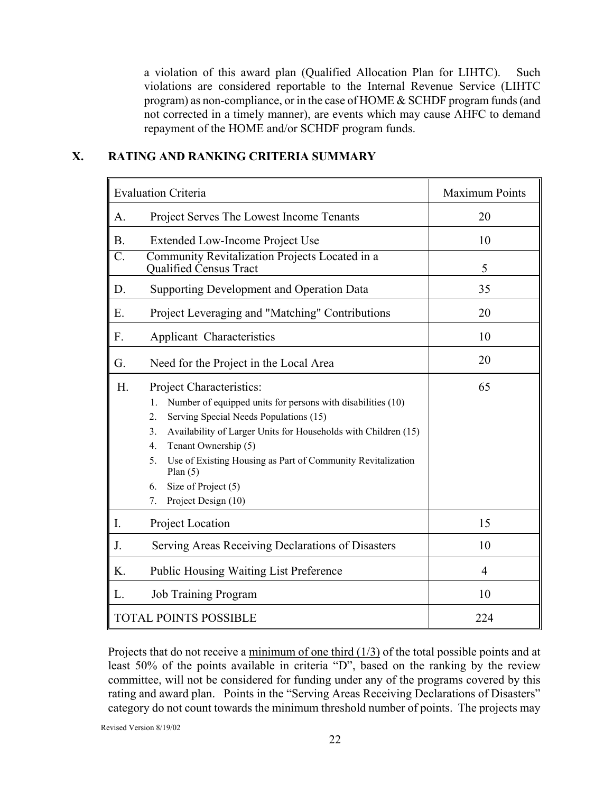a violation of this award plan (Qualified Allocation Plan for LIHTC). Such violations are considered reportable to the Internal Revenue Service (LIHTC program) as non-compliance, or in the case of HOME & SCHDF program funds (and not corrected in a timely manner), are events which may cause AHFC to demand repayment of the HOME and/or SCHDF program funds.

#### **X. RATING AND RANKING CRITERIA SUMMARY**

| <b>Evaluation Criteria</b>                                                                                                                                                                                                                                                                                                                                                                                    | Maximum Points |
|---------------------------------------------------------------------------------------------------------------------------------------------------------------------------------------------------------------------------------------------------------------------------------------------------------------------------------------------------------------------------------------------------------------|----------------|
| Project Serves The Lowest Income Tenants<br>A.                                                                                                                                                                                                                                                                                                                                                                | 20             |
| <b>B.</b><br>Extended Low-Income Project Use                                                                                                                                                                                                                                                                                                                                                                  | 10             |
| $\overline{\mathsf{C}}$ .<br>Community Revitalization Projects Located in a<br>Qualified Census Tract                                                                                                                                                                                                                                                                                                         | 5              |
| Supporting Development and Operation Data<br>D.                                                                                                                                                                                                                                                                                                                                                               | 35             |
| Ε.<br>Project Leveraging and "Matching" Contributions                                                                                                                                                                                                                                                                                                                                                         | 20             |
| F.<br>Applicant Characteristics                                                                                                                                                                                                                                                                                                                                                                               | 10             |
| Need for the Project in the Local Area<br>G.                                                                                                                                                                                                                                                                                                                                                                  | 20             |
| H.<br><b>Project Characteristics:</b><br>Number of equipped units for persons with disabilities (10)<br>1.<br>2.<br>Serving Special Needs Populations (15)<br>Availability of Larger Units for Households with Children (15)<br>3.<br>Tenant Ownership (5)<br>4.<br>Use of Existing Housing as Part of Community Revitalization<br>5.<br>Plan $(5)$<br>Size of Project (5)<br>6.<br>Project Design (10)<br>7. | 65             |
| Project Location<br>I.                                                                                                                                                                                                                                                                                                                                                                                        | 15             |
| Serving Areas Receiving Declarations of Disasters<br>J.                                                                                                                                                                                                                                                                                                                                                       | 10             |
| K.<br><b>Public Housing Waiting List Preference</b>                                                                                                                                                                                                                                                                                                                                                           | 4              |
| <b>Job Training Program</b><br>L.                                                                                                                                                                                                                                                                                                                                                                             | 10             |
| <b>TOTAL POINTS POSSIBLE</b>                                                                                                                                                                                                                                                                                                                                                                                  | 224            |

Projects that do not receive a minimum of one third (1/3) of the total possible points and at least 50% of the points available in criteria "D", based on the ranking by the review committee, will not be considered for funding under any of the programs covered by this rating and award plan. Points in the "Serving Areas Receiving Declarations of Disasters" category do not count towards the minimum threshold number of points. The projects may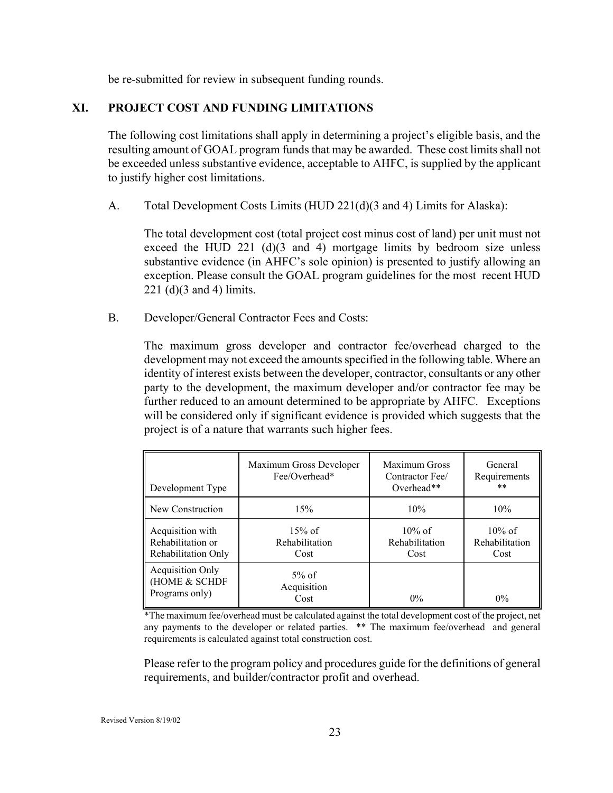be re-submitted for review in subsequent funding rounds.

#### **XI. PROJECT COST AND FUNDING LIMITATIONS**

The following cost limitations shall apply in determining a project's eligible basis, and the resulting amount of GOAL program funds that may be awarded. These cost limits shall not be exceeded unless substantive evidence, acceptable to AHFC, is supplied by the applicant to justify higher cost limitations.

A. Total Development Costs Limits (HUD 221(d)(3 and 4) Limits for Alaska):

The total development cost (total project cost minus cost of land) per unit must not exceed the HUD 221 (d)(3 and 4) mortgage limits by bedroom size unless substantive evidence (in AHFC's sole opinion) is presented to justify allowing an exception. Please consult the GOAL program guidelines for the most recent HUD 221 (d)(3 and 4) limits.

B. Developer/General Contractor Fees and Costs:

The maximum gross developer and contractor fee/overhead charged to the development may not exceed the amounts specified in the following table. Where an identity of interest exists between the developer, contractor, consultants or any other party to the development, the maximum developer and/or contractor fee may be further reduced to an amount determined to be appropriate by AHFC. Exceptions will be considered only if significant evidence is provided which suggests that the project is of a nature that warrants such higher fees.

| Development Type                                             | Maximum Gross Developer<br>Fee/Overhead* | Maximum Gross<br>Contractor Fee/<br>Overhead** | General<br>Requirements<br>$***$    |
|--------------------------------------------------------------|------------------------------------------|------------------------------------------------|-------------------------------------|
| New Construction                                             | 15%                                      | 10%                                            | 10%                                 |
| Acquisition with<br>Rehabilitation or<br>Rehabilitation Only | $15%$ of<br>Rehabilitation<br>Cost       | $10\%$ of<br>Rehabilitation<br>Cost            | $10\%$ of<br>Rehabilitation<br>Cost |
| <b>Acquisition Only</b><br>(HOME & SCHDF<br>Programs only)   | $5\%$ of<br>Acquisition<br>Cost          | $0\%$                                          | $0\%$                               |

\*The maximum fee/overhead must be calculated against the total development cost of the project, net any payments to the developer or related parties. \*\* The maximum fee/overhead and general requirements is calculated against total construction cost.

Please refer to the program policy and procedures guide for the definitions of general requirements, and builder/contractor profit and overhead.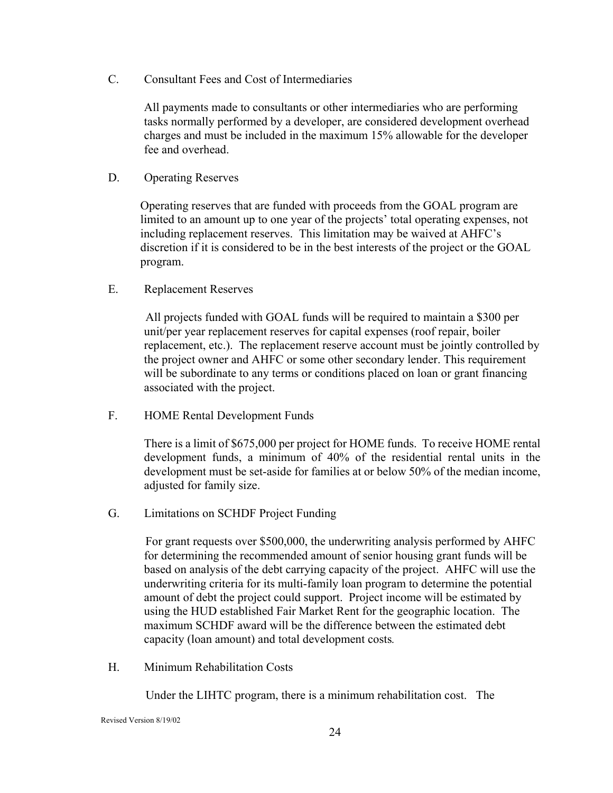C. Consultant Fees and Cost of Intermediaries

All payments made to consultants or other intermediaries who are performing tasks normally performed by a developer, are considered development overhead charges and must be included in the maximum 15% allowable for the developer fee and overhead.

D. Operating Reserves

Operating reserves that are funded with proceeds from the GOAL program are limited to an amount up to one year of the projects' total operating expenses, not including replacement reserves. This limitation may be waived at AHFC's discretion if it is considered to be in the best interests of the project or the GOAL program.

E. Replacement Reserves

 All projects funded with GOAL funds will be required to maintain a \$300 per unit/per year replacement reserves for capital expenses (roof repair, boiler replacement, etc.). The replacement reserve account must be jointly controlled by the project owner and AHFC or some other secondary lender. This requirement will be subordinate to any terms or conditions placed on loan or grant financing associated with the project.

F. HOME Rental Development Funds

 There is a limit of \$675,000 per project for HOME funds. To receive HOME rental development funds, a minimum of 40% of the residential rental units in the development must be set-aside for families at or below 50% of the median income, adjusted for family size.

G. Limitations on SCHDF Project Funding

 For grant requests over \$500,000, the underwriting analysis performed by AHFC for determining the recommended amount of senior housing grant funds will be based on analysis of the debt carrying capacity of the project. AHFC will use the underwriting criteria for its multi-family loan program to determine the potential amount of debt the project could support. Project income will be estimated by using the HUD established Fair Market Rent for the geographic location. The maximum SCHDF award will be the difference between the estimated debt capacity (loan amount) and total development costs*.* 

H. Minimum Rehabilitation Costs

Under the LIHTC program, there is a minimum rehabilitation cost. The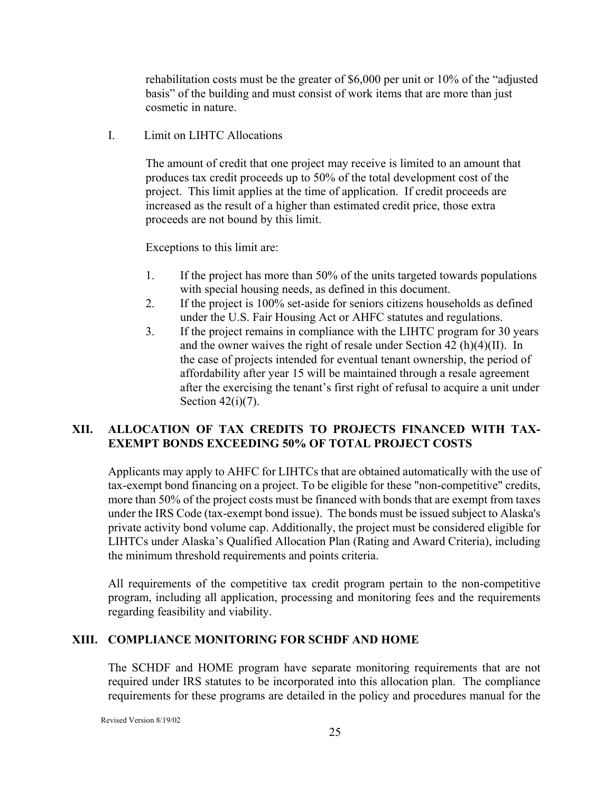rehabilitation costs must be the greater of \$6,000 per unit or 10% of the "adjusted basis" of the building and must consist of work items that are more than just cosmetic in nature.

I. Limit on LIHTC Allocations

The amount of credit that one project may receive is limited to an amount that produces tax credit proceeds up to 50% of the total development cost of the project. This limit applies at the time of application. If credit proceeds are increased as the result of a higher than estimated credit price, those extra proceeds are not bound by this limit.

Exceptions to this limit are:

- 1. If the project has more than 50% of the units targeted towards populations with special housing needs, as defined in this document.
- 2. If the project is 100% set-aside for seniors citizens households as defined under the U.S. Fair Housing Act or AHFC statutes and regulations.
- 3. If the project remains in compliance with the LIHTC program for 30 years and the owner waives the right of resale under Section 42 (h)(4)(II). In the case of projects intended for eventual tenant ownership, the period of affordability after year 15 will be maintained through a resale agreement after the exercising the tenant's first right of refusal to acquire a unit under Section  $42(i)(7)$ .

#### **XII. ALLOCATION OF TAX CREDITS TO PROJECTS FINANCED WITH TAX-EXEMPT BONDS EXCEEDING 50% OF TOTAL PROJECT COSTS**

Applicants may apply to AHFC for LIHTCs that are obtained automatically with the use of tax-exempt bond financing on a project. To be eligible for these "non-competitive" credits, more than 50% of the project costs must be financed with bonds that are exempt from taxes under the IRS Code (tax-exempt bond issue). The bonds must be issued subject to Alaska's private activity bond volume cap. Additionally, the project must be considered eligible for LIHTCs under Alaska's Qualified Allocation Plan (Rating and Award Criteria), including the minimum threshold requirements and points criteria.

All requirements of the competitive tax credit program pertain to the non-competitive program, including all application, processing and monitoring fees and the requirements regarding feasibility and viability.

#### **XIII. COMPLIANCE MONITORING FOR SCHDF AND HOME**

The SCHDF and HOME program have separate monitoring requirements that are not required under IRS statutes to be incorporated into this allocation plan. The compliance requirements for these programs are detailed in the policy and procedures manual for the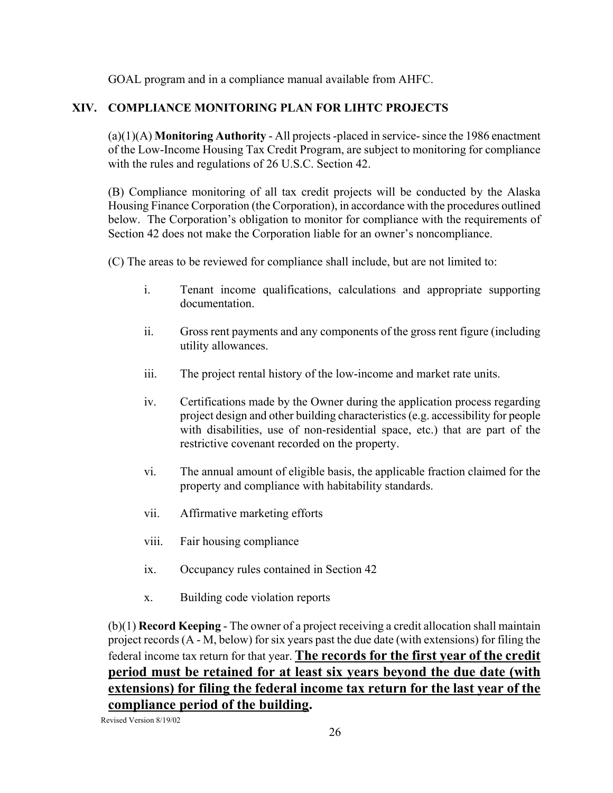GOAL program and in a compliance manual available from AHFC.

#### **XIV. COMPLIANCE MONITORING PLAN FOR LIHTC PROJECTS**

(a)(1)(A) **Monitoring Authority** - All projects -placed in service- since the 1986 enactment of the Low-Income Housing Tax Credit Program, are subject to monitoring for compliance with the rules and regulations of 26 U.S.C. Section 42.

(B) Compliance monitoring of all tax credit projects will be conducted by the Alaska Housing Finance Corporation (the Corporation), in accordance with the procedures outlined below. The Corporation's obligation to monitor for compliance with the requirements of Section 42 does not make the Corporation liable for an owner's noncompliance.

(C) The areas to be reviewed for compliance shall include, but are not limited to:

- i. Tenant income qualifications, calculations and appropriate supporting documentation.
- ii. Gross rent payments and any components of the gross rent figure (including utility allowances.
- iii. The project rental history of the low-income and market rate units.
- iv. Certifications made by the Owner during the application process regarding project design and other building characteristics (e.g. accessibility for people with disabilities, use of non-residential space, etc.) that are part of the restrictive covenant recorded on the property.
- vi. The annual amount of eligible basis, the applicable fraction claimed for the property and compliance with habitability standards.
- vii. Affirmative marketing efforts
- viii. Fair housing compliance
- ix. Occupancy rules contained in Section 42
- x. Building code violation reports

(b)(1) **Record Keeping** - The owner of a project receiving a credit allocation shall maintain project records (A - M, below) for six years past the due date (with extensions) for filing the federal income tax return for that year. **The records for the first year of the credit period must be retained for at least six years beyond the due date (with extensions) for filing the federal income tax return for the last year of the compliance period of the building.**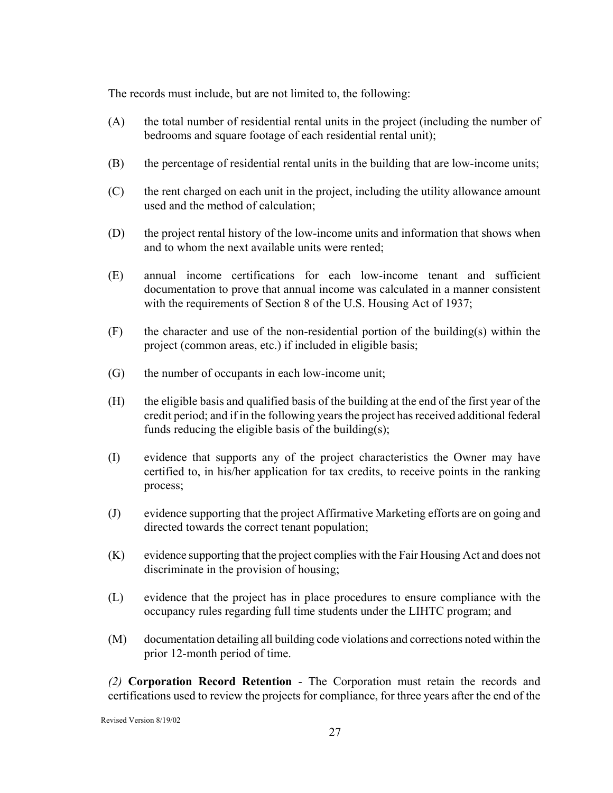The records must include, but are not limited to, the following:

- (A) the total number of residential rental units in the project (including the number of bedrooms and square footage of each residential rental unit);
- (B) the percentage of residential rental units in the building that are low-income units;
- (C) the rent charged on each unit in the project, including the utility allowance amount used and the method of calculation;
- (D) the project rental history of the low-income units and information that shows when and to whom the next available units were rented;
- (E) annual income certifications for each low-income tenant and sufficient documentation to prove that annual income was calculated in a manner consistent with the requirements of Section 8 of the U.S. Housing Act of 1937;
- $(F)$  the character and use of the non-residential portion of the building(s) within the project (common areas, etc.) if included in eligible basis;
- (G) the number of occupants in each low-income unit;
- (H) the eligible basis and qualified basis of the building at the end of the first year of the credit period; and if in the following years the project has received additional federal funds reducing the eligible basis of the building(s);
- (I) evidence that supports any of the project characteristics the Owner may have certified to, in his/her application for tax credits, to receive points in the ranking process;
- (J) evidence supporting that the project Affirmative Marketing efforts are on going and directed towards the correct tenant population;
- (K) evidence supporting that the project complies with the Fair Housing Act and does not discriminate in the provision of housing;
- (L) evidence that the project has in place procedures to ensure compliance with the occupancy rules regarding full time students under the LIHTC program; and
- (M) documentation detailing all building code violations and corrections noted within the prior 12-month period of time.

*(2)* **Corporation Record Retention** - The Corporation must retain the records and certifications used to review the projects for compliance, for three years after the end of the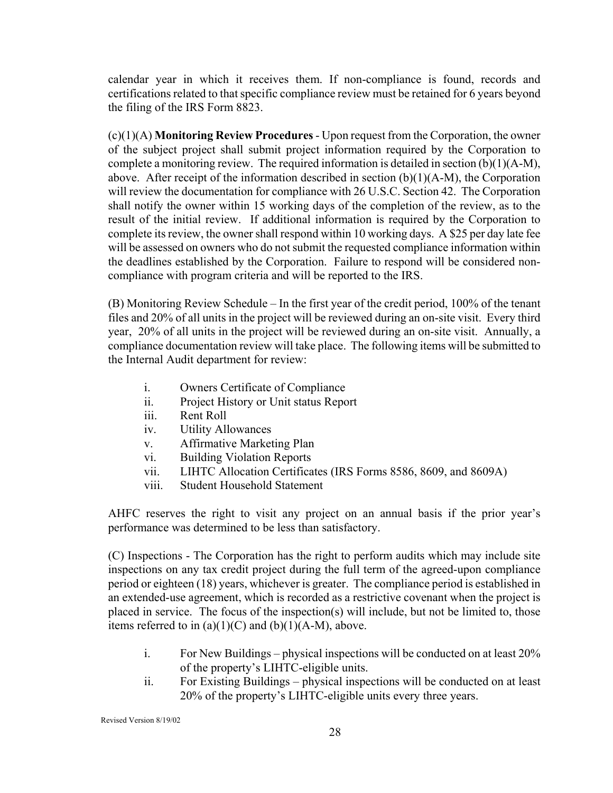calendar year in which it receives them. If non-compliance is found, records and certifications related to that specific compliance review must be retained for 6 years beyond the filing of the IRS Form 8823.

(c)(1)(A) **Monitoring Review Procedures** - Upon request from the Corporation, the owner of the subject project shall submit project information required by the Corporation to complete a monitoring review. The required information is detailed in section (b)(1)(A-M), above. After receipt of the information described in section (b)(1)(A-M), the Corporation will review the documentation for compliance with 26 U.S.C. Section 42. The Corporation shall notify the owner within 15 working days of the completion of the review, as to the result of the initial review. If additional information is required by the Corporation to complete its review, the owner shall respond within 10 working days. A \$25 per day late fee will be assessed on owners who do not submit the requested compliance information within the deadlines established by the Corporation. Failure to respond will be considered noncompliance with program criteria and will be reported to the IRS.

(B) Monitoring Review Schedule – In the first year of the credit period, 100% of the tenant files and 20% of all units in the project will be reviewed during an on-site visit. Every third year, 20% of all units in the project will be reviewed during an on-site visit. Annually, a compliance documentation review will take place. The following items will be submitted to the Internal Audit department for review:

- i. Owners Certificate of Compliance
- ii. Project History or Unit status Report
- iii. Rent Roll
- iv. Utility Allowances
- v. Affirmative Marketing Plan
- vi. Building Violation Reports
- vii. LIHTC Allocation Certificates (IRS Forms 8586, 8609, and 8609A)
- viii. Student Household Statement

AHFC reserves the right to visit any project on an annual basis if the prior year's performance was determined to be less than satisfactory.

(C) Inspections - The Corporation has the right to perform audits which may include site inspections on any tax credit project during the full term of the agreed-upon compliance period or eighteen (18) years, whichever is greater. The compliance period is established in an extended-use agreement, which is recorded as a restrictive covenant when the project is placed in service. The focus of the inspection(s) will include, but not be limited to, those items referred to in  $(a)(1)(C)$  and  $(b)(1)(A-M)$ , above.

- i. For New Buildings physical inspections will be conducted on at least 20% of the property's LIHTC-eligible units.
- ii. For Existing Buildings physical inspections will be conducted on at least 20% of the property's LIHTC-eligible units every three years.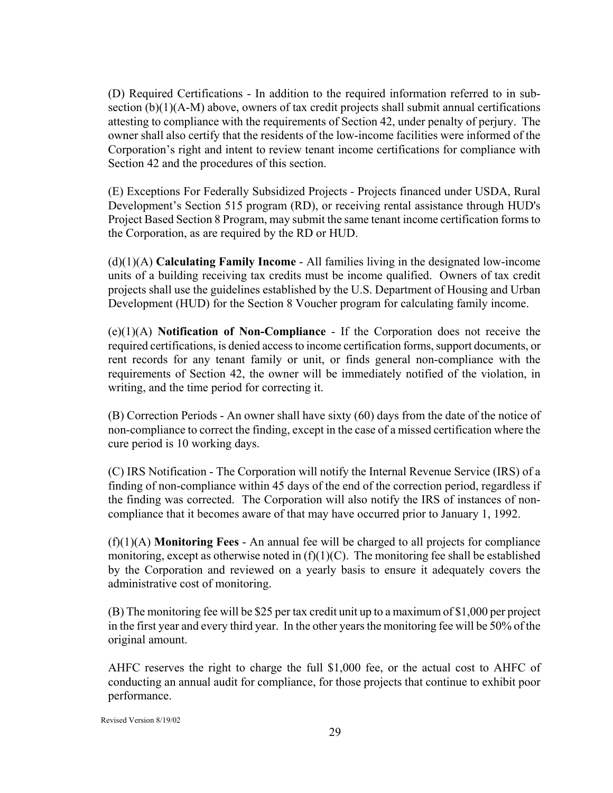(D) Required Certifications - In addition to the required information referred to in subsection (b)(1)(A-M) above, owners of tax credit projects shall submit annual certifications attesting to compliance with the requirements of Section 42, under penalty of perjury. The owner shall also certify that the residents of the low-income facilities were informed of the Corporation's right and intent to review tenant income certifications for compliance with Section 42 and the procedures of this section.

(E) Exceptions For Federally Subsidized Projects *-* Projects financed under USDA, Rural Development's Section 515 program (RD), or receiving rental assistance through HUD's Project Based Section 8 Program, may submit the same tenant income certification forms to the Corporation, as are required by the RD or HUD.

(d)(1)(A) **Calculating Family Income** - All families living in the designated low-income units of a building receiving tax credits must be income qualified. Owners of tax credit projects shall use the guidelines established by the U.S. Department of Housing and Urban Development (HUD) for the Section 8 Voucher program for calculating family income.

(e)(1)(A) **Notification of Non-Compliance** - If the Corporation does not receive the required certifications, is denied access to income certification forms, support documents, or rent records for any tenant family or unit, or finds general non-compliance with the requirements of Section 42, the owner will be immediately notified of the violation, in writing, and the time period for correcting it.

(B) Correction Periods - An owner shall have sixty (60) days from the date of the notice of non-compliance to correct the finding, except in the case of a missed certification where the cure period is 10 working days.

(C) IRS Notification - The Corporation will notify the Internal Revenue Service (IRS) of a finding of non-compliance within 45 days of the end of the correction period, regardless if the finding was corrected. The Corporation will also notify the IRS of instances of noncompliance that it becomes aware of that may have occurred prior to January 1, 1992.

(f)(1)(A) **Monitoring Fees** - An annual fee will be charged to all projects for compliance monitoring, except as otherwise noted in  $(f)(1)(C)$ . The monitoring fee shall be established by the Corporation and reviewed on a yearly basis to ensure it adequately covers the administrative cost of monitoring.

(B) The monitoring fee will be \$25 per tax credit unit up to a maximum of \$1,000 per project in the first year and every third year. In the other years the monitoring fee will be 50% of the original amount.

AHFC reserves the right to charge the full \$1,000 fee, or the actual cost to AHFC of conducting an annual audit for compliance, for those projects that continue to exhibit poor performance.